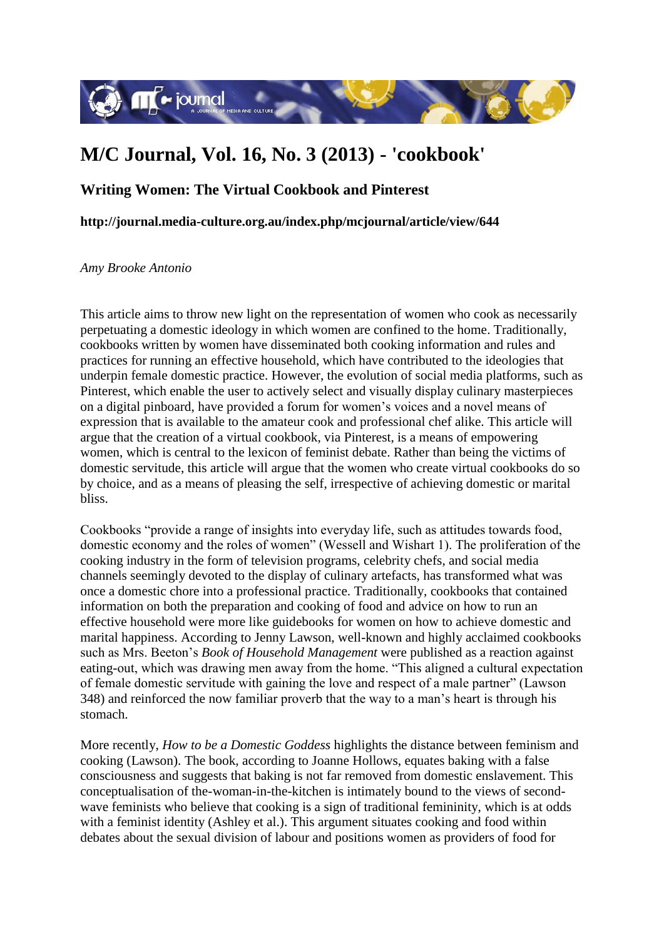

## **M/C Journal, Vol. 16, No. 3 (2013) - 'cookbook'**

## **Writing Women: The Virtual Cookbook and Pinterest**

**http://journal.media-culture.org.au/index.php/mcjournal/article/view/644**

*Amy Brooke Antonio*

This article aims to throw new light on the representation of women who cook as necessarily perpetuating a domestic ideology in which women are confined to the home. Traditionally, cookbooks written by women have disseminated both cooking information and rules and practices for running an effective household, which have contributed to the ideologies that underpin female domestic practice. However, the evolution of social media platforms, such as Pinterest, which enable the user to actively select and visually display culinary masterpieces on a digital pinboard, have provided a forum for women's voices and a novel means of expression that is available to the amateur cook and professional chef alike. This article will argue that the creation of a virtual cookbook, via Pinterest, is a means of empowering women, which is central to the lexicon of feminist debate. Rather than being the victims of domestic servitude, this article will argue that the women who create virtual cookbooks do so by choice, and as a means of pleasing the self, irrespective of achieving domestic or marital bliss.

Cookbooks "provide a range of insights into everyday life, such as attitudes towards food, domestic economy and the roles of women" (Wessell and Wishart 1). The proliferation of the cooking industry in the form of television programs, celebrity chefs, and social media channels seemingly devoted to the display of culinary artefacts, has transformed what was once a domestic chore into a professional practice. Traditionally, cookbooks that contained information on both the preparation and cooking of food and advice on how to run an effective household were more like guidebooks for women on how to achieve domestic and marital happiness. According to Jenny Lawson, well-known and highly acclaimed cookbooks such as Mrs. Beeton's *Book of Household Management* were published as a reaction against eating-out, which was drawing men away from the home. "This aligned a cultural expectation of female domestic servitude with gaining the love and respect of a male partner" (Lawson 348) and reinforced the now familiar proverb that the way to a man's heart is through his stomach.

More recently, *How to be a Domestic Goddess* highlights the distance between feminism and cooking (Lawson). The book, according to Joanne Hollows, equates baking with a false consciousness and suggests that baking is not far removed from domestic enslavement. This conceptualisation of the-woman-in-the-kitchen is intimately bound to the views of secondwave feminists who believe that cooking is a sign of traditional femininity, which is at odds with a feminist identity (Ashley et al.). This argument situates cooking and food within debates about the sexual division of labour and positions women as providers of food for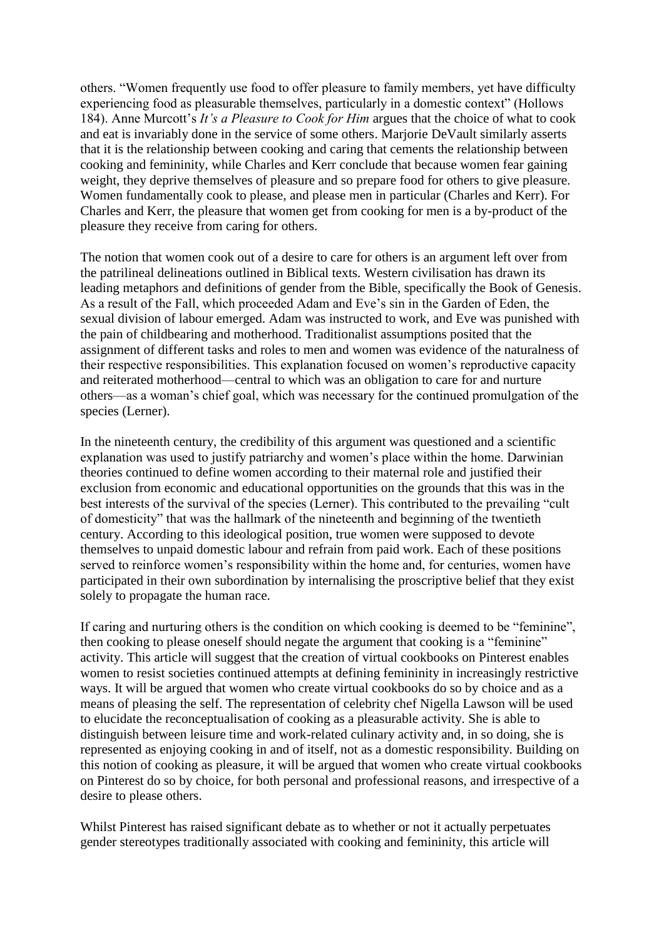others. "Women frequently use food to offer pleasure to family members, yet have difficulty experiencing food as pleasurable themselves, particularly in a domestic context" (Hollows 184). Anne Murcott's *It's a Pleasure to Cook for Him* argues that the choice of what to cook and eat is invariably done in the service of some others. Marjorie DeVault similarly asserts that it is the relationship between cooking and caring that cements the relationship between cooking and femininity, while Charles and Kerr conclude that because women fear gaining weight, they deprive themselves of pleasure and so prepare food for others to give pleasure. Women fundamentally cook to please, and please men in particular (Charles and Kerr). For Charles and Kerr, the pleasure that women get from cooking for men is a by-product of the pleasure they receive from caring for others.

The notion that women cook out of a desire to care for others is an argument left over from the patrilineal delineations outlined in Biblical texts. Western civilisation has drawn its leading metaphors and definitions of gender from the Bible, specifically the Book of Genesis. As a result of the Fall, which proceeded Adam and Eve's sin in the Garden of Eden, the sexual division of labour emerged. Adam was instructed to work, and Eve was punished with the pain of childbearing and motherhood. Traditionalist assumptions posited that the assignment of different tasks and roles to men and women was evidence of the naturalness of their respective responsibilities. This explanation focused on women's reproductive capacity and reiterated motherhood—central to which was an obligation to care for and nurture others—as a woman's chief goal, which was necessary for the continued promulgation of the species (Lerner).

In the nineteenth century, the credibility of this argument was questioned and a scientific explanation was used to justify patriarchy and women's place within the home. Darwinian theories continued to define women according to their maternal role and justified their exclusion from economic and educational opportunities on the grounds that this was in the best interests of the survival of the species (Lerner). This contributed to the prevailing "cult of domesticity" that was the hallmark of the nineteenth and beginning of the twentieth century. According to this ideological position, true women were supposed to devote themselves to unpaid domestic labour and refrain from paid work. Each of these positions served to reinforce women's responsibility within the home and, for centuries, women have participated in their own subordination by internalising the proscriptive belief that they exist solely to propagate the human race.

If caring and nurturing others is the condition on which cooking is deemed to be "feminine", then cooking to please oneself should negate the argument that cooking is a "feminine" activity. This article will suggest that the creation of virtual cookbooks on Pinterest enables women to resist societies continued attempts at defining femininity in increasingly restrictive ways. It will be argued that women who create virtual cookbooks do so by choice and as a means of pleasing the self. The representation of celebrity chef Nigella Lawson will be used to elucidate the reconceptualisation of cooking as a pleasurable activity. She is able to distinguish between leisure time and work-related culinary activity and, in so doing, she is represented as enjoying cooking in and of itself, not as a domestic responsibility. Building on this notion of cooking as pleasure, it will be argued that women who create virtual cookbooks on Pinterest do so by choice, for both personal and professional reasons, and irrespective of a desire to please others.

Whilst Pinterest has raised significant debate as to whether or not it actually perpetuates gender stereotypes traditionally associated with cooking and femininity, this article will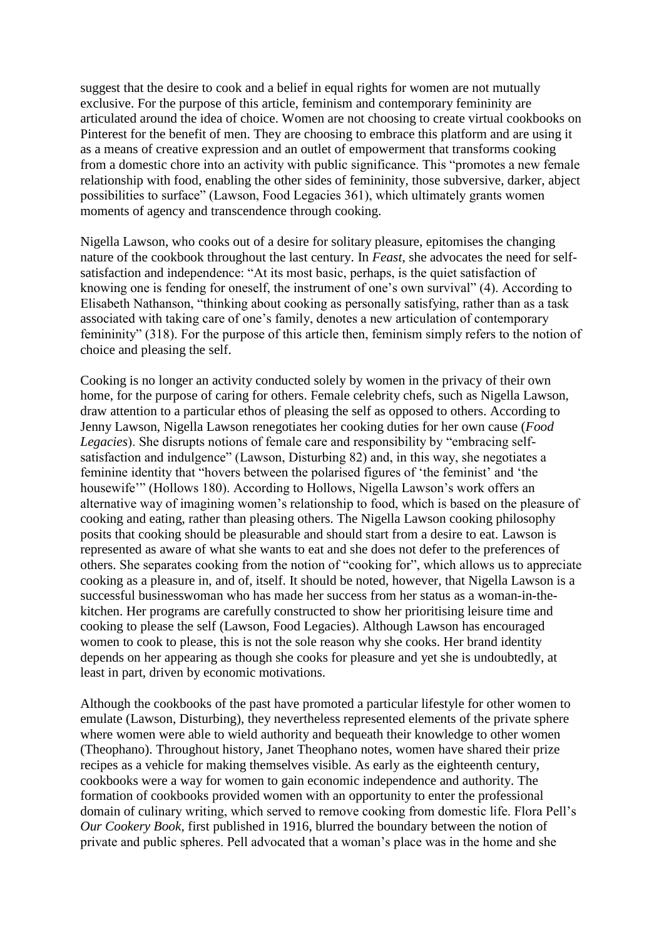suggest that the desire to cook and a belief in equal rights for women are not mutually exclusive. For the purpose of this article, feminism and contemporary femininity are articulated around the idea of choice. Women are not choosing to create virtual cookbooks on Pinterest for the benefit of men. They are choosing to embrace this platform and are using it as a means of creative expression and an outlet of empowerment that transforms cooking from a domestic chore into an activity with public significance. This "promotes a new female relationship with food, enabling the other sides of femininity, those subversive, darker, abject possibilities to surface" (Lawson, Food Legacies 361), which ultimately grants women moments of agency and transcendence through cooking.

Nigella Lawson, who cooks out of a desire for solitary pleasure, epitomises the changing nature of the cookbook throughout the last century. In *Feast*, she advocates the need for selfsatisfaction and independence: "At its most basic, perhaps, is the quiet satisfaction of knowing one is fending for oneself, the instrument of one's own survival" (4). According to Elisabeth Nathanson, "thinking about cooking as personally satisfying, rather than as a task associated with taking care of one's family, denotes a new articulation of contemporary femininity" (318). For the purpose of this article then, feminism simply refers to the notion of choice and pleasing the self.

Cooking is no longer an activity conducted solely by women in the privacy of their own home, for the purpose of caring for others. Female celebrity chefs, such as Nigella Lawson, draw attention to a particular ethos of pleasing the self as opposed to others. According to Jenny Lawson, Nigella Lawson renegotiates her cooking duties for her own cause (*Food Legacies*). She disrupts notions of female care and responsibility by "embracing selfsatisfaction and indulgence" (Lawson, Disturbing 82) and, in this way, she negotiates a feminine identity that "hovers between the polarised figures of 'the feminist' and 'the housewife'" (Hollows 180). According to Hollows, Nigella Lawson's work offers an alternative way of imagining women's relationship to food, which is based on the pleasure of cooking and eating, rather than pleasing others. The Nigella Lawson cooking philosophy posits that cooking should be pleasurable and should start from a desire to eat. Lawson is represented as aware of what she wants to eat and she does not defer to the preferences of others. She separates cooking from the notion of "cooking for", which allows us to appreciate cooking as a pleasure in, and of, itself. It should be noted, however, that Nigella Lawson is a successful businesswoman who has made her success from her status as a woman-in-thekitchen. Her programs are carefully constructed to show her prioritising leisure time and cooking to please the self (Lawson, Food Legacies). Although Lawson has encouraged women to cook to please, this is not the sole reason why she cooks. Her brand identity depends on her appearing as though she cooks for pleasure and yet she is undoubtedly, at least in part, driven by economic motivations.

Although the cookbooks of the past have promoted a particular lifestyle for other women to emulate (Lawson, Disturbing), they nevertheless represented elements of the private sphere where women were able to wield authority and bequeath their knowledge to other women (Theophano). Throughout history, Janet Theophano notes, women have shared their prize recipes as a vehicle for making themselves visible. As early as the eighteenth century, cookbooks were a way for women to gain economic independence and authority. The formation of cookbooks provided women with an opportunity to enter the professional domain of culinary writing, which served to remove cooking from domestic life. Flora Pell's *Our Cookery Book*, first published in 1916, blurred the boundary between the notion of private and public spheres. Pell advocated that a woman's place was in the home and she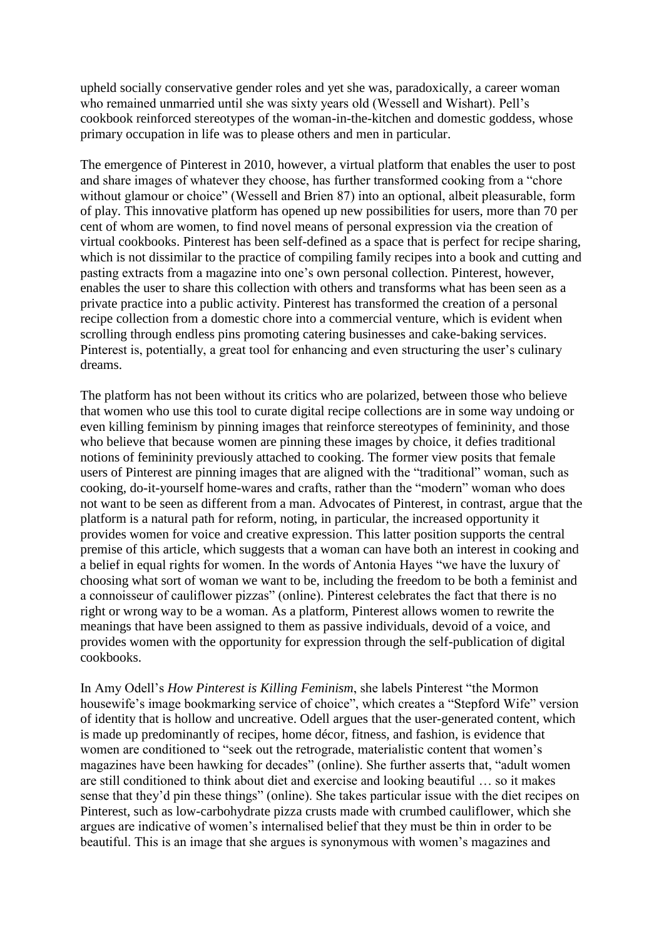upheld socially conservative gender roles and yet she was, paradoxically, a career woman who remained unmarried until she was sixty years old (Wessell and Wishart). Pell's cookbook reinforced stereotypes of the woman-in-the-kitchen and domestic goddess, whose primary occupation in life was to please others and men in particular.

The emergence of Pinterest in 2010, however, a virtual platform that enables the user to post and share images of whatever they choose, has further transformed cooking from a "chore without glamour or choice" (Wessell and Brien 87) into an optional, albeit pleasurable, form of play. This innovative platform has opened up new possibilities for users, more than 70 per cent of whom are women, to find novel means of personal expression via the creation of virtual cookbooks. Pinterest has been self-defined as a space that is perfect for recipe sharing, which is not dissimilar to the practice of compiling family recipes into a book and cutting and pasting extracts from a magazine into one's own personal collection. Pinterest, however, enables the user to share this collection with others and transforms what has been seen as a private practice into a public activity. Pinterest has transformed the creation of a personal recipe collection from a domestic chore into a commercial venture, which is evident when scrolling through endless pins promoting catering businesses and cake-baking services. Pinterest is, potentially, a great tool for enhancing and even structuring the user's culinary dreams.

The platform has not been without its critics who are polarized, between those who believe that women who use this tool to curate digital recipe collections are in some way undoing or even killing feminism by pinning images that reinforce stereotypes of femininity, and those who believe that because women are pinning these images by choice, it defies traditional notions of femininity previously attached to cooking. The former view posits that female users of Pinterest are pinning images that are aligned with the "traditional" woman, such as cooking, do-it-yourself home-wares and crafts, rather than the "modern" woman who does not want to be seen as different from a man. Advocates of Pinterest, in contrast, argue that the platform is a natural path for reform, noting, in particular, the increased opportunity it provides women for voice and creative expression. This latter position supports the central premise of this article, which suggests that a woman can have both an interest in cooking and a belief in equal rights for women. In the words of Antonia Hayes "we have the luxury of choosing what sort of woman we want to be, including the freedom to be both a feminist and a connoisseur of cauliflower pizzas" (online). Pinterest celebrates the fact that there is no right or wrong way to be a woman. As a platform, Pinterest allows women to rewrite the meanings that have been assigned to them as passive individuals, devoid of a voice, and provides women with the opportunity for expression through the self-publication of digital cookbooks.

In Amy Odell's *How Pinterest is Killing Feminism*, she labels Pinterest "the Mormon housewife's image bookmarking service of choice", which creates a "Stepford Wife" version of identity that is hollow and uncreative. Odell argues that the user-generated content, which is made up predominantly of recipes, home décor, fitness, and fashion, is evidence that women are conditioned to "seek out the retrograde, materialistic content that women's magazines have been hawking for decades" (online). She further asserts that, "adult women are still conditioned to think about diet and exercise and looking beautiful … so it makes sense that they'd pin these things" (online). She takes particular issue with the diet recipes on Pinterest, such as low-carbohydrate pizza crusts made with crumbed cauliflower, which she argues are indicative of women's internalised belief that they must be thin in order to be beautiful. This is an image that she argues is synonymous with women's magazines and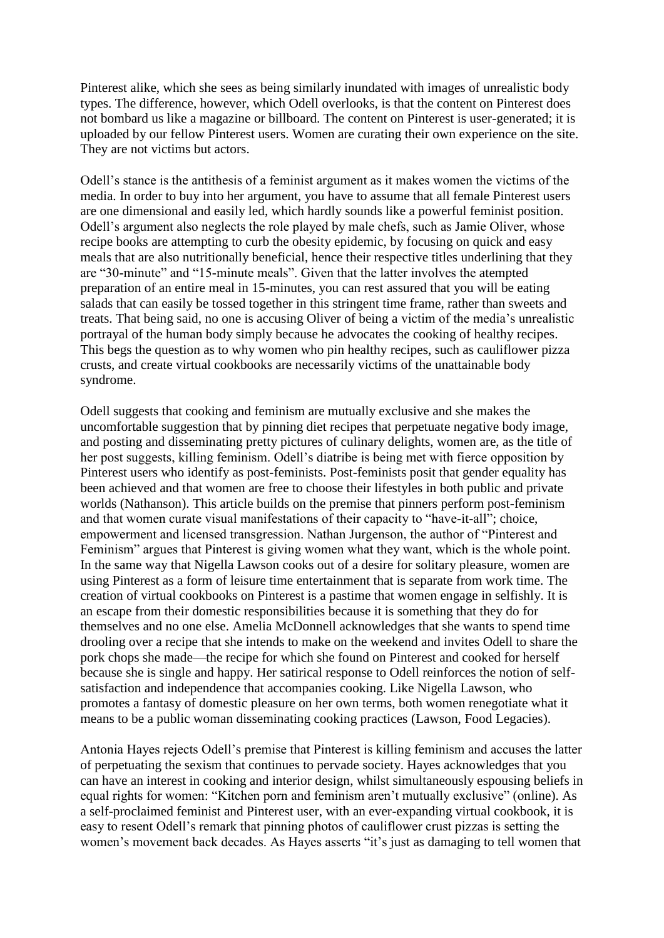Pinterest alike, which she sees as being similarly inundated with images of unrealistic body types. The difference, however, which Odell overlooks, is that the content on Pinterest does not bombard us like a magazine or billboard. The content on Pinterest is user-generated; it is uploaded by our fellow Pinterest users. Women are curating their own experience on the site. They are not victims but actors.

Odell's stance is the antithesis of a feminist argument as it makes women the victims of the media. In order to buy into her argument, you have to assume that all female Pinterest users are one dimensional and easily led, which hardly sounds like a powerful feminist position. Odell's argument also neglects the role played by male chefs, such as Jamie Oliver, whose recipe books are attempting to curb the obesity epidemic, by focusing on quick and easy meals that are also nutritionally beneficial, hence their respective titles underlining that they are "30-minute" and "15-minute meals". Given that the latter involves the atempted preparation of an entire meal in 15-minutes, you can rest assured that you will be eating salads that can easily be tossed together in this stringent time frame, rather than sweets and treats. That being said, no one is accusing Oliver of being a victim of the media's unrealistic portrayal of the human body simply because he advocates the cooking of healthy recipes. This begs the question as to why women who pin healthy recipes, such as cauliflower pizza crusts, and create virtual cookbooks are necessarily victims of the unattainable body syndrome.

Odell suggests that cooking and feminism are mutually exclusive and she makes the uncomfortable suggestion that by pinning diet recipes that perpetuate negative body image, and posting and disseminating pretty pictures of culinary delights, women are, as the title of her post suggests, killing feminism. Odell's diatribe is being met with fierce opposition by Pinterest users who identify as post-feminists. Post-feminists posit that gender equality has been achieved and that women are free to choose their lifestyles in both public and private worlds (Nathanson). This article builds on the premise that pinners perform post-feminism and that women curate visual manifestations of their capacity to "have-it-all"; choice, empowerment and licensed transgression. Nathan Jurgenson, the author of "Pinterest and Feminism" argues that Pinterest is giving women what they want, which is the whole point. In the same way that Nigella Lawson cooks out of a desire for solitary pleasure, women are using Pinterest as a form of leisure time entertainment that is separate from work time. The creation of virtual cookbooks on Pinterest is a pastime that women engage in selfishly. It is an escape from their domestic responsibilities because it is something that they do for themselves and no one else. Amelia McDonnell acknowledges that she wants to spend time drooling over a recipe that she intends to make on the weekend and invites Odell to share the pork chops she made—the recipe for which she found on Pinterest and cooked for herself because she is single and happy. Her satirical response to Odell reinforces the notion of selfsatisfaction and independence that accompanies cooking. Like Nigella Lawson, who promotes a fantasy of domestic pleasure on her own terms, both women renegotiate what it means to be a public woman disseminating cooking practices (Lawson, Food Legacies).

Antonia Hayes rejects Odell's premise that Pinterest is killing feminism and accuses the latter of perpetuating the sexism that continues to pervade society. Hayes acknowledges that you can have an interest in cooking and interior design, whilst simultaneously espousing beliefs in equal rights for women: "Kitchen porn and feminism aren't mutually exclusive" (online). As a self-proclaimed feminist and Pinterest user, with an ever-expanding virtual cookbook, it is easy to resent Odell's remark that pinning photos of cauliflower crust pizzas is setting the women's movement back decades. As Hayes asserts "it's just as damaging to tell women that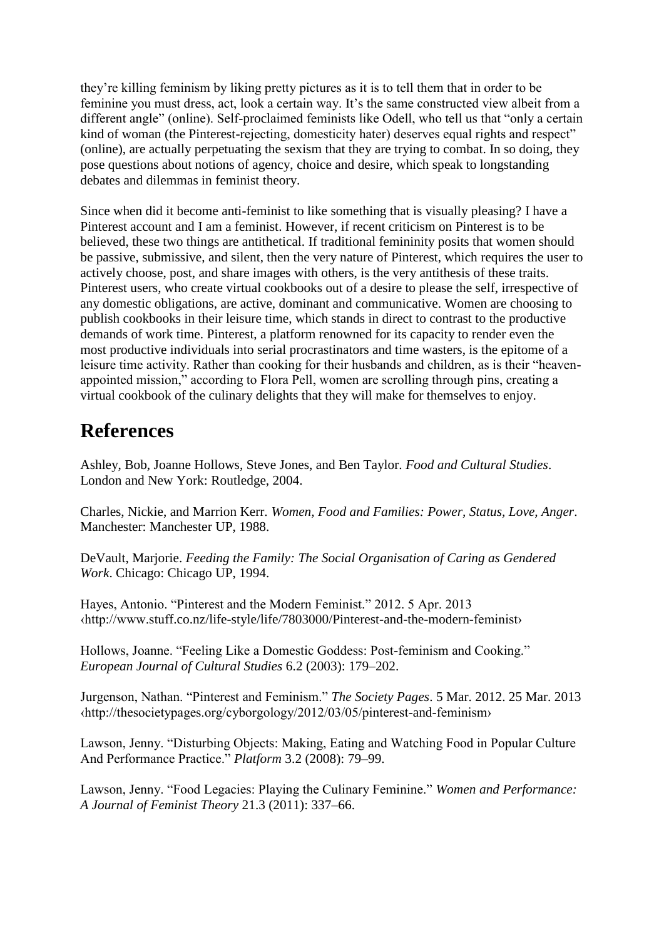they're killing feminism by liking pretty pictures as it is to tell them that in order to be feminine you must dress, act, look a certain way. It's the same constructed view albeit from a different angle" (online). Self-proclaimed feminists like Odell, who tell us that "only a certain kind of woman (the Pinterest-rejecting, domesticity hater) deserves equal rights and respect" (online), are actually perpetuating the sexism that they are trying to combat. In so doing, they pose questions about notions of agency, choice and desire, which speak to longstanding debates and dilemmas in feminist theory.

Since when did it become anti-feminist to like something that is visually pleasing? I have a Pinterest account and I am a feminist. However, if recent criticism on Pinterest is to be believed, these two things are antithetical. If traditional femininity posits that women should be passive, submissive, and silent, then the very nature of Pinterest, which requires the user to actively choose, post, and share images with others, is the very antithesis of these traits. Pinterest users, who create virtual cookbooks out of a desire to please the self, irrespective of any domestic obligations, are active, dominant and communicative. Women are choosing to publish cookbooks in their leisure time, which stands in direct to contrast to the productive demands of work time. Pinterest, a platform renowned for its capacity to render even the most productive individuals into serial procrastinators and time wasters, is the epitome of a leisure time activity. Rather than cooking for their husbands and children, as is their "heavenappointed mission," according to Flora Pell, women are scrolling through pins, creating a virtual cookbook of the culinary delights that they will make for themselves to enjoy.

## **References**

Ashley, Bob, Joanne Hollows, Steve Jones, and Ben Taylor. *Food and Cultural Studies*. London and New York: Routledge, 2004.

Charles, Nickie, and Marrion Kerr. *Women, Food and Families: Power, Status, Love, Anger*. Manchester: Manchester UP, 1988.

DeVault, Marjorie. *Feeding the Family: The Social Organisation of Caring as Gendered Work*. Chicago: Chicago UP, 1994.

Hayes, Antonio. "Pinterest and the Modern Feminist." 2012. 5 Apr. 2013 ‹http://www.stuff.co.nz/life-style/life/7803000/Pinterest-and-the-modern-feminist›

Hollows, Joanne. "Feeling Like a Domestic Goddess: Post-feminism and Cooking." *European Journal of Cultural Studies* 6.2 (2003): 179–202.

Jurgenson, Nathan. "Pinterest and Feminism." *The Society Pages*. 5 Mar. 2012. 25 Mar. 2013 ‹http://thesocietypages.org/cyborgology/2012/03/05/pinterest-and-feminism›

Lawson, Jenny. "Disturbing Objects: Making, Eating and Watching Food in Popular Culture And Performance Practice." *Platform* 3.2 (2008): 79–99.

Lawson, Jenny. "Food Legacies: Playing the Culinary Feminine." *Women and Performance: A Journal of Feminist Theory* 21.3 (2011): 337–66.